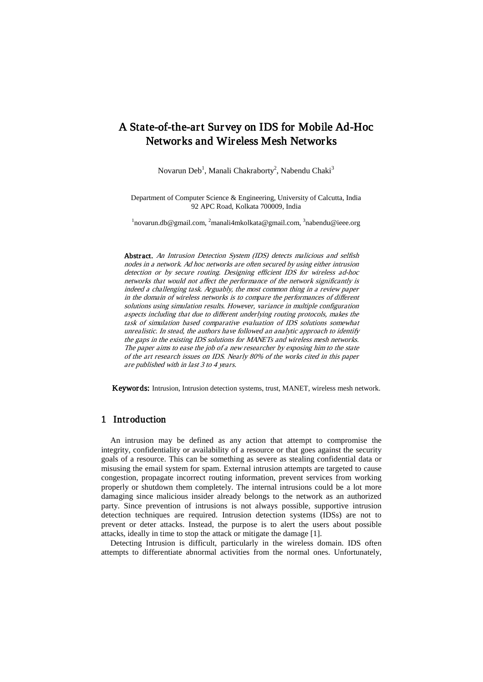# A State-of-the-art Survey on IDS for Mobile Ad-Hoc Networks and Wireless Mesh Networks

Novarun Deb<sup>1</sup>, Manali Chakraborty<sup>2</sup>, Nabendu Chaki<sup>3</sup>

Department of Computer Science & Engineering, University of Calcutta, India 92 APC Road, Kolkata 700009, India

<sup>1</sup>novarun.db@gmail.com, <sup>2</sup>manali4mkolkata@gmail.com, <sup>3</sup>nabendu@ieee.org

Abstract. An Intrusion Detection System (IDS) detects malicious and selfish nodes in a network. Ad hoc networks are often secured by using either intrusion detection or by secure routing. Designing efficient IDS for wireless ad-hoc networks that would not affect the performance of the network significantly is indeed a challenging task. Arguably, the most common thing in a review paper in the domain of wireless networks is to compare the performances of different solutions using simulation results. However, variance in multiple configuration aspects including that due to different underlying routing protocols, makes the task of simulation based comparative evaluation of IDS solutions somewhat unrealistic. In stead, the authors have followed an analytic approach to identify the gaps in the existing IDS solutions for MANETs and wireless mesh networks. The paper aims to ease the job of a new researcher by exposing him to the state of the art research issues on IDS. Nearly 80% of the works cited in this paper are published with in last 3 to 4 years.

Keywords: Intrusion, Intrusion detection systems, trust, MANET, wireless mesh network.

#### 1 Introduction

An intrusion may be defined as any action that attempt to compromise the integrity, confidentiality or availability of a resource or that goes against the security goals of a resource. This can be something as severe as stealing confidential data or misusing the email system for spam. External intrusion attempts are targeted to cause congestion, propagate incorrect routing information, prevent services from working properly or shutdown them completely. The internal intrusions could be a lot more damaging since malicious insider already belongs to the network as an authorized party. Since prevention of intrusions is not always possible, supportive intrusion detection techniques are required. Intrusion detection systems (IDSs) are not to prevent or deter attacks. Instead, the purpose is to alert the users about possible attacks, ideally in time to stop the attack or mitigate the damage [1].

Detecting Intrusion is difficult, particularly in the wireless domain. IDS often attempts to differentiate abnormal activities from the normal ones. Unfortunately,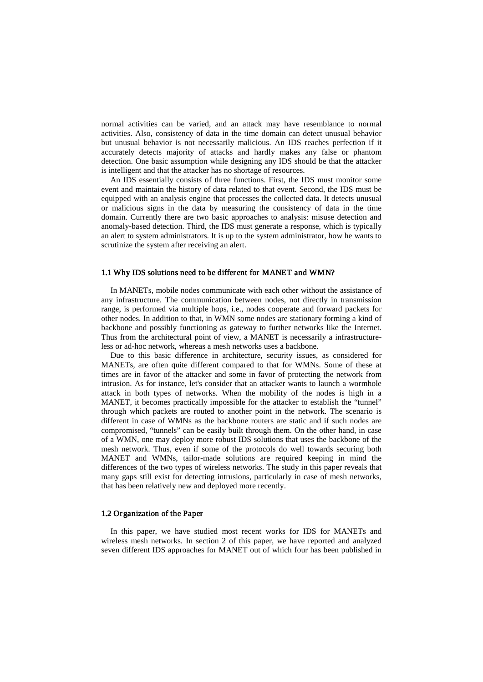normal activities can be varied, and an attack may have resemblance to normal activities. Also, consistency of data in the time domain can detect unusual behavior but unusual behavior is not necessarily malicious. An IDS reaches perfection if it accurately detects majority of attacks and hardly makes any false or phantom detection. One basic assumption while designing any IDS should be that the attacker is intelligent and that the attacker has no shortage of resources.

An IDS essentially consists of three functions. First, the IDS must monitor some event and maintain the history of data related to that event. Second, the IDS must be equipped with an analysis engine that processes the collected data. It detects unusual or malicious signs in the data by measuring the consistency of data in the time domain. Currently there are two basic approaches to analysis: misuse detection and anomaly-based detection. Third, the IDS must generate a response, which is typically an alert to system administrators. It is up to the system administrator, how he wants to scrutinize the system after receiving an alert.

#### 1.1 Why IDS solutions need to be different for MANET and WMN?

In MANETs, mobile nodes communicate with each other without the assistance of any infrastructure. The communication between nodes, not directly in transmission range, is performed via multiple hops, i.e., nodes cooperate and forward packets for other nodes. In addition to that, in WMN some nodes are stationary forming a kind of backbone and possibly functioning as gateway to further networks like the Internet. Thus from the architectural point of view, a MANET is necessarily a infrastructureless or ad-hoc network, whereas a mesh networks uses a backbone.

Due to this basic difference in architecture, security issues, as considered for MANETs, are often quite different compared to that for WMNs. Some of these at times are in favor of the attacker and some in favor of protecting the network from intrusion. As for instance, let's consider that an attacker wants to launch a wormhole attack in both types of networks. When the mobility of the nodes is high in a MANET, it becomes practically impossible for the attacker to establish the "tunnel" through which packets are routed to another point in the network. The scenario is different in case of WMNs as the backbone routers are static and if such nodes are compromised, "tunnels" can be easily built through them. On the other hand, in case of a WMN, one may deploy more robust IDS solutions that uses the backbone of the mesh network. Thus, even if some of the protocols do well towards securing both MANET and WMNs, tailor-made solutions are required keeping in mind the differences of the two types of wireless networks. The study in this paper reveals that many gaps still exist for detecting intrusions, particularly in case of mesh networks, that has been relatively new and deployed more recently.

#### 1.2 Organization of the Paper

In this paper, we have studied most recent works for IDS for MANETs and wireless mesh networks. In section 2 of this paper, we have reported and analyzed seven different IDS approaches for MANET out of which four has been published in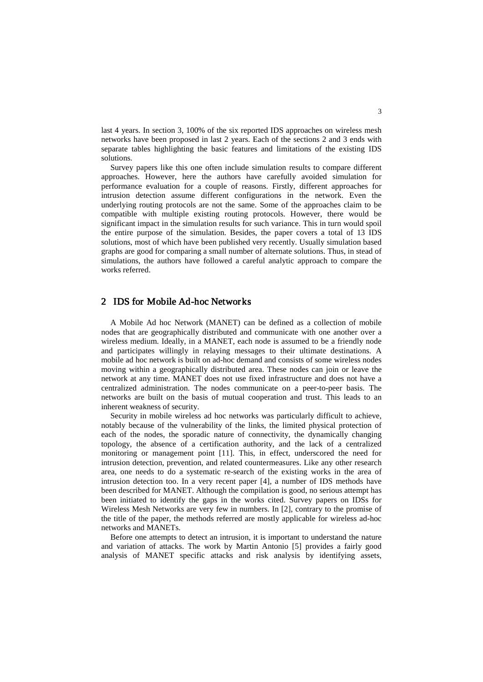last 4 years. In section 3, 100% of the six reported IDS approaches on wireless mesh networks have been proposed in last 2 years. Each of the sections 2 and 3 ends with separate tables highlighting the basic features and limitations of the existing IDS solutions.

Survey papers like this one often include simulation results to compare different approaches. However, here the authors have carefully avoided simulation for performance evaluation for a couple of reasons. Firstly, different approaches for intrusion detection assume different configurations in the network. Even the underlying routing protocols are not the same. Some of the approaches claim to be compatible with multiple existing routing protocols. However, there would be significant impact in the simulation results for such variance. This in turn would spoil the entire purpose of the simulation. Besides, the paper covers a total of 13 IDS solutions, most of which have been published very recently. Usually simulation based graphs are good for comparing a small number of alternate solutions. Thus, in stead of simulations, the authors have followed a careful analytic approach to compare the works referred.

### 2 IDS for Mobile Ad-hoc Networks

A Mobile Ad hoc Network (MANET) can be defined as a collection of mobile nodes that are geographically distributed and communicate with one another over a wireless medium. Ideally, in a MANET, each node is assumed to be a friendly node and participates willingly in relaying messages to their ultimate destinations. A mobile ad hoc network is built on ad-hoc demand and consists of some wireless nodes moving within a geographically distributed area. These nodes can join or leave the network at any time. MANET does not use fixed infrastructure and does not have a centralized administration. The nodes communicate on a peer-to-peer basis. The networks are built on the basis of mutual cooperation and trust. This leads to an inherent weakness of security.

Security in mobile wireless ad hoc networks was particularly difficult to achieve, notably because of the vulnerability of the links, the limited physical protection of each of the nodes, the sporadic nature of connectivity, the dynamically changing topology, the absence of a certification authority, and the lack of a centralized monitoring or management point [11]. This, in effect, underscored the need for intrusion detection, prevention, and related countermeasures. Like any other research area, one needs to do a systematic re-search of the existing works in the area of intrusion detection too. In a very recent paper [4], a number of IDS methods have been described for MANET. Although the compilation is good, no serious attempt has been initiated to identify the gaps in the works cited. Survey papers on IDSs for Wireless Mesh Networks are very few in numbers. In [2], contrary to the promise of the title of the paper, the methods referred are mostly applicable for wireless ad-hoc networks and MANETs.

Before one attempts to detect an intrusion, it is important to understand the nature and variation of attacks. The work by Martin Antonio [5] provides a fairly good analysis of MANET specific attacks and risk analysis by identifying assets,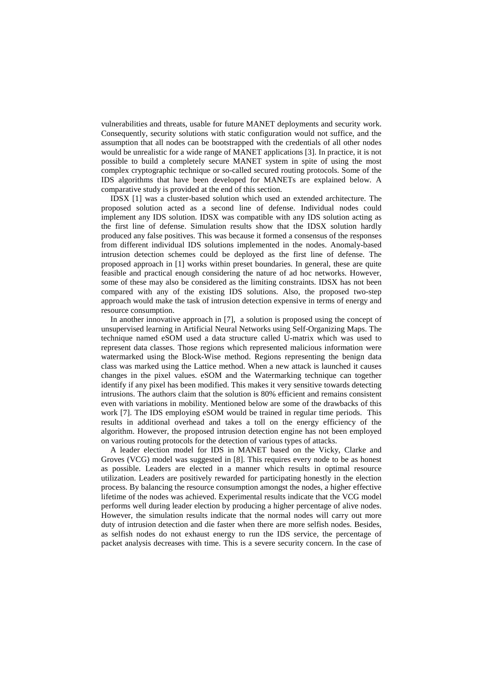vulnerabilities and threats, usable for future MANET deployments and security work. Consequently, security solutions with static configuration would not suffice, and the assumption that all nodes can be bootstrapped with the credentials of all other nodes would be unrealistic for a wide range of MANET applications [3]. In practice, it is not possible to build a completely secure MANET system in spite of using the most complex cryptographic technique or so-called secured routing protocols. Some of the IDS algorithms that have been developed for MANETs are explained below. A comparative study is provided at the end of this section.

IDSX [1] was a cluster-based solution which used an extended architecture. The proposed solution acted as a second line of defense. Individual nodes could implement any IDS solution. IDSX was compatible with any IDS solution acting as the first line of defense. Simulation results show that the IDSX solution hardly produced any false positives. This was because it formed a consensus of the responses from different individual IDS solutions implemented in the nodes. Anomaly-based intrusion detection schemes could be deployed as the first line of defense. The proposed approach in [1] works within preset boundaries. In general, these are quite feasible and practical enough considering the nature of ad hoc networks. However, some of these may also be considered as the limiting constraints. IDSX has not been compared with any of the existing IDS solutions. Also, the proposed two-step approach would make the task of intrusion detection expensive in terms of energy and resource consumption.

In another innovative approach in [7], a solution is proposed using the concept of unsupervised learning in Artificial Neural Networks using Self-Organizing Maps. The technique named eSOM used a data structure called U-matrix which was used to represent data classes. Those regions which represented malicious information were watermarked using the Block-Wise method. Regions representing the benign data class was marked using the Lattice method. When a new attack is launched it causes changes in the pixel values. eSOM and the Watermarking technique can together identify if any pixel has been modified. This makes it very sensitive towards detecting intrusions. The authors claim that the solution is 80% efficient and remains consistent even with variations in mobility. Mentioned below are some of the drawbacks of this work [7]. The IDS employing eSOM would be trained in regular time periods. This results in additional overhead and takes a toll on the energy efficiency of the algorithm. However, the proposed intrusion detection engine has not been employed on various routing protocols for the detection of various types of attacks.

A leader election model for IDS in MANET based on the Vicky, Clarke and Groves (VCG) model was suggested in [8]. This requires every node to be as honest as possible. Leaders are elected in a manner which results in optimal resource utilization. Leaders are positively rewarded for participating honestly in the election process. By balancing the resource consumption amongst the nodes, a higher effective lifetime of the nodes was achieved. Experimental results indicate that the VCG model performs well during leader election by producing a higher percentage of alive nodes. However, the simulation results indicate that the normal nodes will carry out more duty of intrusion detection and die faster when there are more selfish nodes. Besides, as selfish nodes do not exhaust energy to run the IDS service, the percentage of packet analysis decreases with time. This is a severe security concern. In the case of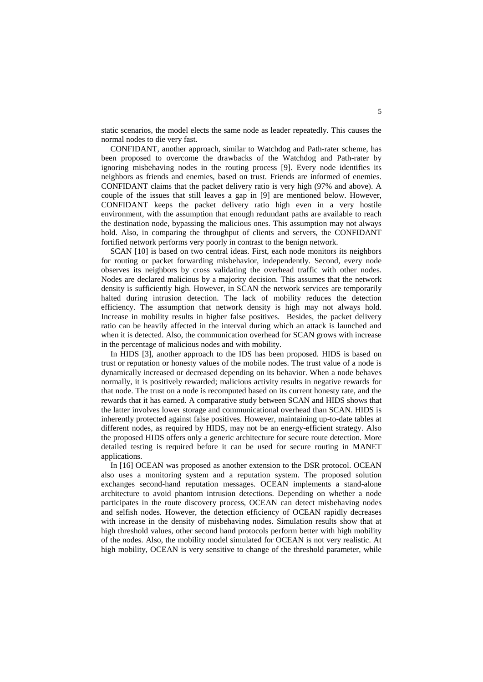static scenarios, the model elects the same node as leader repeatedly. This causes the normal nodes to die very fast.

CONFIDANT, another approach, similar to Watchdog and Path-rater scheme, has been proposed to overcome the drawbacks of the Watchdog and Path-rater by ignoring misbehaving nodes in the routing process [9]. Every node identifies its neighbors as friends and enemies, based on trust. Friends are informed of enemies. CONFIDANT claims that the packet delivery ratio is very high (97% and above). A couple of the issues that still leaves a gap in [9] are mentioned below. However, CONFIDANT keeps the packet delivery ratio high even in a very hostile environment, with the assumption that enough redundant paths are available to reach the destination node, bypassing the malicious ones. This assumption may not always hold. Also, in comparing the throughput of clients and servers, the CONFIDANT fortified network performs very poorly in contrast to the benign network.

SCAN [10] is based on two central ideas. First, each node monitors its neighbors for routing or packet forwarding misbehavior, independently. Second, every node observes its neighbors by cross validating the overhead traffic with other nodes. Nodes are declared malicious by a majority decision. This assumes that the network density is sufficiently high. However, in SCAN the network services are temporarily halted during intrusion detection. The lack of mobility reduces the detection efficiency. The assumption that network density is high may not always hold. Increase in mobility results in higher false positives. Besides, the packet delivery ratio can be heavily affected in the interval during which an attack is launched and when it is detected. Also, the communication overhead for SCAN grows with increase in the percentage of malicious nodes and with mobility.

In HIDS [3], another approach to the IDS has been proposed. HIDS is based on trust or reputation or honesty values of the mobile nodes. The trust value of a node is dynamically increased or decreased depending on its behavior. When a node behaves normally, it is positively rewarded; malicious activity results in negative rewards for that node. The trust on a node is recomputed based on its current honesty rate, and the rewards that it has earned. A comparative study between SCAN and HIDS shows that the latter involves lower storage and communicational overhead than SCAN. HIDS is inherently protected against false positives. However, maintaining up-to-date tables at different nodes, as required by HIDS, may not be an energy-efficient strategy. Also the proposed HIDS offers only a generic architecture for secure route detection. More detailed testing is required before it can be used for secure routing in MANET applications.

In [16] OCEAN was proposed as another extension to the DSR protocol. OCEAN also uses a monitoring system and a reputation system. The proposed solution exchanges second-hand reputation messages. OCEAN implements a stand-alone architecture to avoid phantom intrusion detections. Depending on whether a node participates in the route discovery process, OCEAN can detect misbehaving nodes and selfish nodes. However, the detection efficiency of OCEAN rapidly decreases with increase in the density of misbehaving nodes. Simulation results show that at high threshold values, other second hand protocols perform better with high mobility of the nodes. Also, the mobility model simulated for OCEAN is not very realistic. At high mobility, OCEAN is very sensitive to change of the threshold parameter, while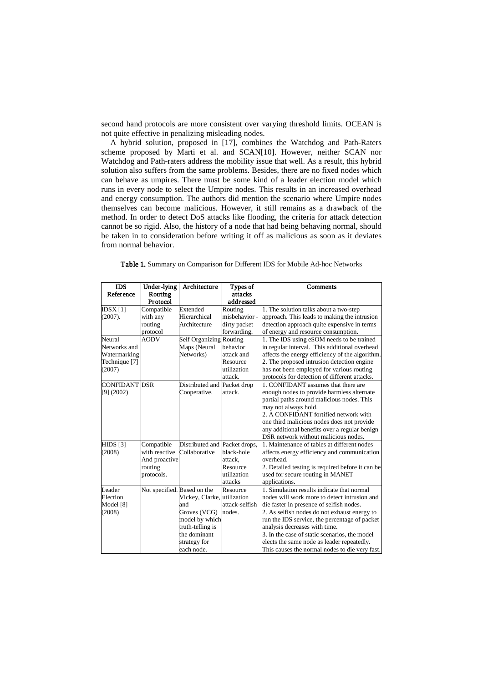second hand protocols are more consistent over varying threshold limits. OCEAN is not quite effective in penalizing misleading nodes.

A hybrid solution, proposed in [17], combines the Watchdog and Path-Raters scheme proposed by Marti et al. and SCAN[10]. However, neither SCAN nor Watchdog and Path-raters address the mobility issue that well. As a result, this hybrid solution also suffers from the same problems. Besides, there are no fixed nodes which can behave as umpires. There must be some kind of a leader election model which runs in every node to select the Umpire nodes. This results in an increased overhead and energy consumption. The authors did mention the scenario where Umpire nodes themselves can become malicious. However, it still remains as a drawback of the method. In order to detect DoS attacks like flooding, the criteria for attack detection cannot be so rigid. Also, the history of a node that had being behaving normal, should be taken in to consideration before writing it off as malicious as soon as it deviates from normal behavior.

| <b>IDS</b>           | <b>Under-lying</b>          | Architecture                  | Types of       | Comments                                         |
|----------------------|-----------------------------|-------------------------------|----------------|--------------------------------------------------|
| Reference            | Routing                     |                               | attacks        |                                                  |
|                      | Protocol                    |                               | addressed      |                                                  |
| IDSX $[1]$           | Compatible                  | Extended                      | Routing        | 1. The solution talks about a two-step           |
| (2007).              | with any                    | Hierarchical                  | misbehavior -  | approach. This leads to making the intrusion     |
|                      | routing                     | Architecture                  | dirty packet   | detection approach quite expensive in terms      |
|                      | protocol                    |                               | forwarding.    | of energy and resource consumption.              |
| Neural               | AODV                        | Self Organizing Routing       |                | 1. The IDS using eSOM needs to be trained        |
| Networks and         |                             | Maps (Neural                  | behavior       | in regular interval. This additional overhead    |
| Watermarking         |                             | Networks)                     | attack and     | affects the energy efficiency of the algorithm.  |
| Technique [7]        |                             |                               | Resource       | 2. The proposed intrusion detection engine       |
| (2007)               |                             |                               | utilization    | has not been employed for various routing        |
|                      |                             |                               | attack.        | protocols for detection of different attacks.    |
| <b>CONFIDANT DSR</b> |                             | Distributed and Packet drop   |                | 1. CONFIDANT assumes that there are              |
| [9] (2002)           |                             | Cooperative.                  | attack.        | enough nodes to provide harmless alternate       |
|                      |                             |                               |                | partial paths around malicious nodes. This       |
|                      |                             |                               |                | may not always hold.                             |
|                      |                             |                               |                | 2. A CONFIDANT fortified network with            |
|                      |                             |                               |                | one third malicious nodes does not provide       |
|                      |                             |                               |                | any additional benefits over a regular benign    |
|                      |                             |                               |                | DSR network without malicious nodes.             |
| $HIDS$ [3]           | Compatible                  | Distributed and Packet drops, |                | 1. Maintenance of tables at different nodes      |
| (2008)               | with reactive               | Collaborative                 | black-hole     | affects energy efficiency and communication      |
|                      | And proactive               |                               | attack,        | overhead.                                        |
|                      | routing                     |                               | Resource       | 2. Detailed testing is required before it can be |
|                      | protocols.                  |                               | utilization    | used for secure routing in MANET                 |
|                      |                             |                               | attacks        | applications.                                    |
| Leader               | Not specified. Based on the |                               | Resource       | 1. Simulation results indicate that normal       |
| Election             |                             | Vickey, Clarke, utilization   |                | nodes will work more to detect intrusion and     |
| Model [8]            |                             | and                           | attack-selfish | die faster in presence of selfish nodes.         |
| (2008)               |                             | Groves (VCG)                  | nodes.         | 2. As selfish nodes do not exhaust energy to     |
|                      |                             | model by which                |                | run the IDS service, the percentage of packet    |
|                      |                             | truth-telling is              |                | analysis decreases with time.                    |
|                      |                             | the dominant                  |                | 3. In the case of static scenarios, the model    |
|                      |                             | strategy for                  |                | elects the same node as leader repeatedly.       |
|                      |                             | each node.                    |                | This causes the normal nodes to die very fast.   |

| <b>Table 1.</b> Summary on Comparison for Different IDS for Mobile Ad-hoc Networks |  |  |  |  |
|------------------------------------------------------------------------------------|--|--|--|--|
|------------------------------------------------------------------------------------|--|--|--|--|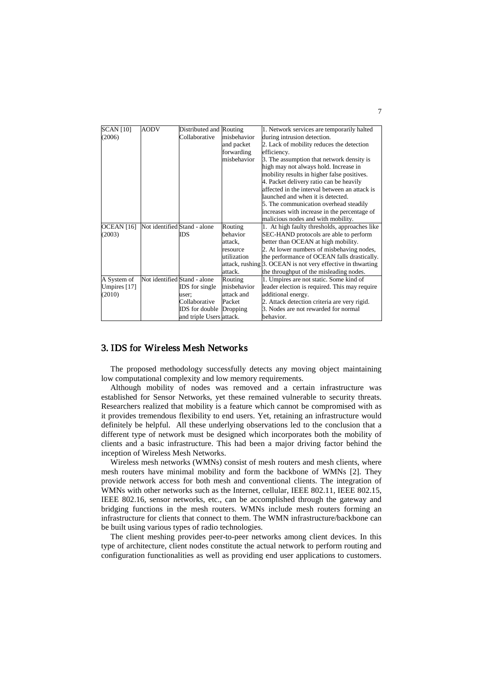| <b>SCAN</b> [10]      | <b>AODV</b>                  | Distributed and Routing        |             | 1. Network services are temporarily halted                  |
|-----------------------|------------------------------|--------------------------------|-------------|-------------------------------------------------------------|
| (2006)                |                              | Collaborative                  | misbehavior | during intrusion detection.                                 |
|                       |                              |                                | and packet  | 2. Lack of mobility reduces the detection                   |
|                       |                              |                                | forwarding  | efficiency.                                                 |
|                       |                              |                                | misbehavior | 3. The assumption that network density is                   |
|                       |                              |                                |             | high may not always hold. Increase in                       |
|                       |                              |                                |             | mobility results in higher false positives.                 |
|                       |                              |                                |             | 4. Packet delivery ratio can be heavily                     |
|                       |                              |                                |             | affected in the interval between an attack is               |
|                       |                              |                                |             | launched and when it is detected.                           |
|                       |                              |                                |             | 5. The communication overhead steadily                      |
|                       |                              |                                |             | increases with increase in the percentage of                |
|                       |                              |                                |             | malicious nodes and with mobility.                          |
| OCEAN <sub>[16]</sub> | Not identified Stand - alone |                                | Routing     | 1. At high faulty thresholds, approaches like               |
| (2003)                |                              | IDS                            | behavior    | SEC-HAND protocols are able to perform                      |
|                       |                              |                                | attack,     | better than OCEAN at high mobility.                         |
|                       |                              |                                | resource    | 2. At lower numbers of misbehaving nodes,                   |
|                       |                              |                                | utilization | the performance of OCEAN falls drastically.                 |
|                       |                              |                                |             | attack, rushing 3. OCEAN is not very effective in thwarting |
|                       |                              |                                | attack.     | the throughput of the misleading nodes.                     |
| A System of           | Not identified Stand - alone |                                | Routing     | 1. Umpires are not static. Some kind of                     |
| Umpires [17]          |                              | <b>IDS</b> for single          | misbehavior | leader election is required. This may require               |
| (2010)                |                              | user;                          | attack and  | additional energy.                                          |
|                       |                              | Collaborative                  | Packet      | 2. Attack detection criteria are very rigid.                |
|                       |                              | <b>IDS</b> for double Dropping |             | 3. Nodes are not rewarded for normal                        |
|                       |                              | and triple Users attack.       |             | behavior.                                                   |

#### 3. IDS for Wireless Mesh Networks

The proposed methodology successfully detects any moving object maintaining low computational complexity and low memory requirements.

Although mobility of nodes was removed and a certain infrastructure was established for Sensor Networks, yet these remained vulnerable to security threats. Researchers realized that mobility is a feature which cannot be compromised with as it provides tremendous flexibility to end users. Yet, retaining an infrastructure would definitely be helpful. All these underlying observations led to the conclusion that a different type of network must be designed which incorporates both the mobility of clients and a basic infrastructure. This had been a major driving factor behind the inception of Wireless Mesh Networks.

Wireless mesh networks (WMNs) consist of mesh routers and mesh clients, where mesh routers have minimal mobility and form the backbone of WMNs [2]. They provide network access for both mesh and conventional clients. The integration of WMNs with other networks such as the Internet, cellular, IEEE 802.11, IEEE 802.15, IEEE 802.16, sensor networks, etc., can be accomplished through the gateway and bridging functions in the mesh routers. WMNs include mesh routers forming an infrastructure for clients that connect to them. The WMN infrastructure/backbone can be built using various types of radio technologies.

The client meshing provides peer-to-peer networks among client devices. In this type of architecture, client nodes constitute the actual network to perform routing and configuration functionalities as well as providing end user applications to customers.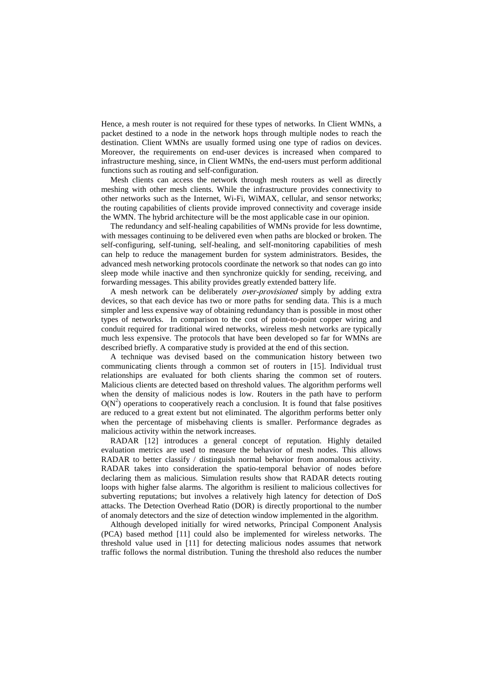Hence, a mesh router is not required for these types of networks. In Client WMNs, a packet destined to a node in the network hops through multiple nodes to reach the destination. Client WMNs are usually formed using one type of radios on devices. Moreover, the requirements on end-user devices is increased when compared to infrastructure meshing, since, in Client WMNs, the end-users must perform additional functions such as routing and self-configuration.

Mesh clients can access the network through mesh routers as well as directly meshing with other mesh clients. While the infrastructure provides connectivity to other networks such as the Internet, Wi-Fi, WiMAX, cellular, and sensor networks; the routing capabilities of clients provide improved connectivity and coverage inside the WMN. The hybrid architecture will be the most applicable case in our opinion.

The redundancy and self-healing capabilities of WMNs provide for less downtime, with messages continuing to be delivered even when paths are blocked or broken. The self-configuring, self-tuning, self-healing, and self-monitoring capabilities of mesh can help to reduce the management burden for system administrators. Besides, the advanced mesh networking protocols coordinate the network so that nodes can go into sleep mode while inactive and then synchronize quickly for sending, receiving, and forwarding messages. This ability provides greatly extended battery life.

A mesh network can be deliberately over-provisioned simply by adding extra devices, so that each device has two or more paths for sending data. This is a much simpler and less expensive way of obtaining redundancy than is possible in most other types of networks. In comparison to the cost of point-to-point copper wiring and conduit required for traditional wired networks, wireless mesh networks are typically much less expensive. The protocols that have been developed so far for WMNs are described briefly. A comparative study is provided at the end of this section.

A technique was devised based on the communication history between two communicating clients through a common set of routers in [15]. Individual trust relationships are evaluated for both clients sharing the common set of routers. Malicious clients are detected based on threshold values. The algorithm performs well when the density of malicious nodes is low. Routers in the path have to perform  $O(N^2)$  operations to cooperatively reach a conclusion. It is found that false positives are reduced to a great extent but not eliminated. The algorithm performs better only when the percentage of misbehaving clients is smaller. Performance degrades as malicious activity within the network increases.

RADAR [12] introduces a general concept of reputation. Highly detailed evaluation metrics are used to measure the behavior of mesh nodes. This allows RADAR to better classify / distinguish normal behavior from anomalous activity. RADAR takes into consideration the spatio-temporal behavior of nodes before declaring them as malicious. Simulation results show that RADAR detects routing loops with higher false alarms. The algorithm is resilient to malicious collectives for subverting reputations; but involves a relatively high latency for detection of DoS attacks. The Detection Overhead Ratio (DOR) is directly proportional to the number of anomaly detectors and the size of detection window implemented in the algorithm.

Although developed initially for wired networks, Principal Component Analysis (PCA) based method [11] could also be implemented for wireless networks. The threshold value used in [11] for detecting malicious nodes assumes that network traffic follows the normal distribution. Tuning the threshold also reduces the number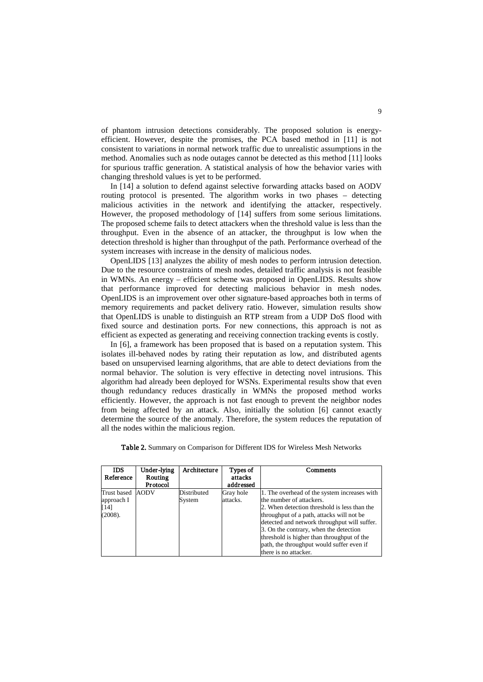of phantom intrusion detections considerably. The proposed solution is energyefficient. However, despite the promises, the PCA based method in [11] is not consistent to variations in normal network traffic due to unrealistic assumptions in the method. Anomalies such as node outages cannot be detected as this method [11] looks for spurious traffic generation. A statistical analysis of how the behavior varies with changing threshold values is yet to be performed.

In [14] a solution to defend against selective forwarding attacks based on AODV routing protocol is presented. The algorithm works in two phases – detecting malicious activities in the network and identifying the attacker, respectively. However, the proposed methodology of [14] suffers from some serious limitations. The proposed scheme fails to detect attackers when the threshold value is less than the throughput. Even in the absence of an attacker, the throughput is low when the detection threshold is higher than throughput of the path. Performance overhead of the system increases with increase in the density of malicious nodes.

OpenLIDS [13] analyzes the ability of mesh nodes to perform intrusion detection. Due to the resource constraints of mesh nodes, detailed traffic analysis is not feasible in WMNs. An energy – efficient scheme was proposed in OpenLIDS. Results show that performance improved for detecting malicious behavior in mesh nodes. OpenLIDS is an improvement over other signature-based approaches both in terms of memory requirements and packet delivery ratio. However, simulation results show that OpenLIDS is unable to distinguish an RTP stream from a UDP DoS flood with fixed source and destination ports. For new connections, this approach is not as efficient as expected as generating and receiving connection tracking events is costly.

In [6], a framework has been proposed that is based on a reputation system. This isolates ill-behaved nodes by rating their reputation as low, and distributed agents based on unsupervised learning algorithms, that are able to detect deviations from the normal behavior. The solution is very effective in detecting novel intrusions. This algorithm had already been deployed for WSNs. Experimental results show that even though redundancy reduces drastically in WMNs the proposed method works efficiently. However, the approach is not fast enough to prevent the neighbor nodes from being affected by an attack. Also, initially the solution [6] cannot exactly determine the source of the anomaly. Therefore, the system reduces the reputation of all the nodes within the malicious region.

| <b>IDS</b><br>Reference | Under-lying<br>Routing | Architecture | Types of<br>attacks | Comments                                     |
|-------------------------|------------------------|--------------|---------------------|----------------------------------------------|
|                         | Protocol               |              | addressed           |                                              |
| Trust based AODV        |                        | Distributed  | Gray hole           | 1. The overhead of the system increases with |
| approach I              |                        | System       | attacks.            | the number of attackers.                     |
| [14]                    |                        |              |                     | 2. When detection threshold is less than the |
| (2008).                 |                        |              |                     | throughput of a path, attacks will not be    |
|                         |                        |              |                     | detected and network throughput will suffer. |
|                         |                        |              |                     | 3. On the contrary, when the detection       |
|                         |                        |              |                     | threshold is higher than throughput of the   |
|                         |                        |              |                     | path, the throughput would suffer even if    |
|                         |                        |              |                     | there is no attacker.                        |

Table 2. Summary on Comparison for Different IDS for Wireless Mesh Networks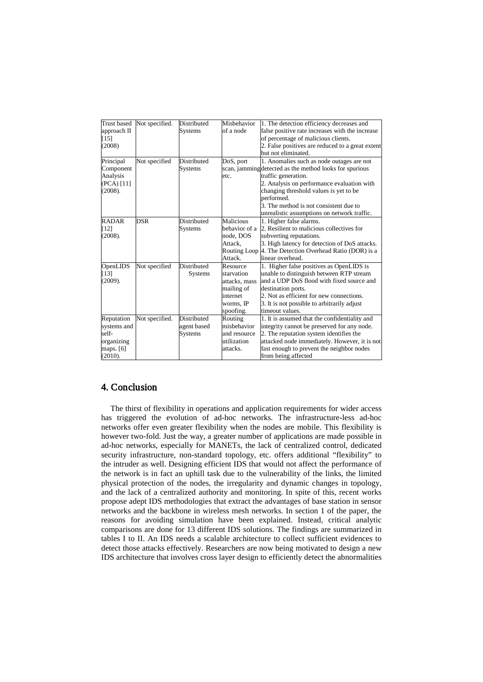| <b>Trust based</b> | Not specified. | Distributed        | Misbehavior         | 1. The detection efficiency decreases and               |
|--------------------|----------------|--------------------|---------------------|---------------------------------------------------------|
| approach II        |                | <b>Systems</b>     | of a node           | false positive rate increases with the increase         |
| $[15]$             |                |                    |                     | of percentage of malicious clients.                     |
| (2008)             |                |                    |                     | 2. False positives are reduced to a great extent        |
|                    |                |                    |                     | but not eliminated.                                     |
| Principal          | Not specified  | Distributed        | DoS, port           | 1. Anomalies such as node outages are not               |
| Component          |                | <b>Systems</b>     |                     | scan, jamming detected as the method looks for spurious |
| Analysis           |                |                    | etc.                | traffic generation.                                     |
| $(PCA)$ [11]       |                |                    |                     | 2. Analysis on performance evaluation with              |
| (2008).            |                |                    |                     | changing threshold values is yet to be                  |
|                    |                |                    |                     | performed.                                              |
|                    |                |                    |                     | 3. The method is not consistent due to                  |
|                    |                |                    |                     | unrealistic assumptions on network traffic.             |
| <b>RADAR</b>       | <b>DSR</b>     | <b>Distributed</b> | Malicious           | 1. Higher false alarms.                                 |
| [12]               |                | Systems            | behavior of a       | 2. Resilient to malicious collectives for               |
| (2008).            |                |                    | node, DOS           | subverting reputations.                                 |
|                    |                |                    | Attack,             | 3. High latency for detection of DoS attacks.           |
|                    |                |                    | <b>Routing Loop</b> | 4. The Detection Overhead Ratio (DOR) is a              |
|                    |                |                    | Attack.             | linear overhead.                                        |
| OpenLIDS           | Not specified  | <b>Distributed</b> | Resource            | 1. Higher false positives as OpenLIDS is                |
| $[13]$             |                | <b>Systems</b>     | starvation          | unable to distinguish between RTP stream                |
| (2009).            |                |                    | attacks, mass       | and a UDP DoS flood with fixed source and               |
|                    |                |                    | mailing of          | destination ports.                                      |
|                    |                |                    | internet            | 2. Not as efficient for new connections.                |
|                    |                |                    | worms, IP           | 3. It is not possible to arbitrarily adjust             |
|                    |                |                    | spoofing.           | timeout values.                                         |
| Reputation         | Not specified. | Distributed        | Routing             | 1. It is assumed that the confidentiality and           |
| systems and        |                | agent based        | misbehavior         | integrity cannot be preserved for any node.             |
| self-              |                | <b>Systems</b>     | and resource        | 2. The reputation system identifies the                 |
| organizing         |                |                    | utilization         | attacked node immediately. However, it is not           |
| maps. $[6]$        |                |                    | attacks.            | fast enough to prevent the neighbor nodes               |
| (2010).            |                |                    |                     | from being affected                                     |

## 4. Conclusion

The thirst of flexibility in operations and application requirements for wider access has triggered the evolution of ad-hoc networks. The infrastructure-less ad-hoc networks offer even greater flexibility when the nodes are mobile. This flexibility is however two-fold. Just the way, a greater number of applications are made possible in ad-hoc networks, especially for MANETs, the lack of centralized control, dedicated security infrastructure, non-standard topology, etc. offers additional "flexibility" to the intruder as well. Designing efficient IDS that would not affect the performance of the network is in fact an uphill task due to the vulnerability of the links, the limited physical protection of the nodes, the irregularity and dynamic changes in topology, and the lack of a centralized authority and monitoring. In spite of this, recent works propose adept IDS methodologies that extract the advantages of base station in sensor networks and the backbone in wireless mesh networks. In section 1 of the paper, the reasons for avoiding simulation have been explained. Instead, critical analytic comparisons are done for 13 different IDS solutions. The findings are summarized in tables I to II. An IDS needs a scalable architecture to collect sufficient evidences to detect those attacks effectively. Researchers are now being motivated to design a new IDS architecture that involves cross layer design to efficiently detect the abnormalities